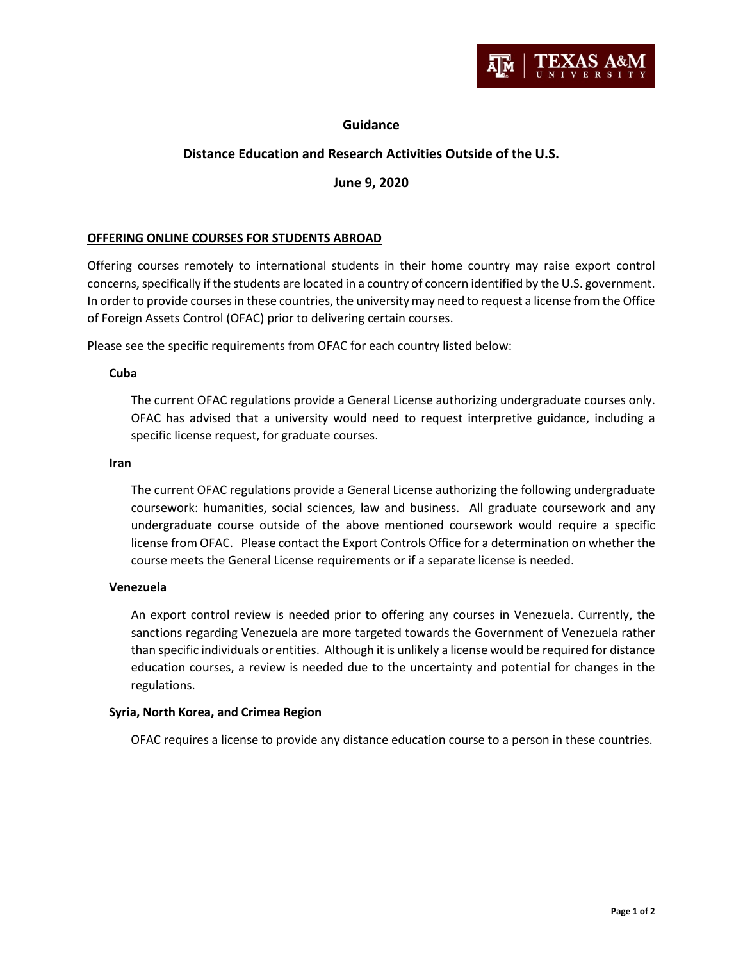

## **Guidance**

# **Distance Education and Research Activities Outside of the U.S.**

## **June 9, 2020**

## **OFFERING ONLINE COURSES FOR STUDENTS ABROAD**

Offering courses remotely to international students in their home country may raise export control concerns, specifically if the students are located in a country of concern identified by the U.S. government. In order to provide courses in these countries, the university may need to request a license from the Office of Foreign Assets Control (OFAC) prior to delivering certain courses.

Please see the specific requirements from OFAC for each country listed below:

## **Cuba**

The current OFAC regulations provide a General License authorizing undergraduate courses only. OFAC has advised that a university would need to request interpretive guidance, including a specific license request, for graduate courses.

#### **Iran**

The current OFAC regulations provide a General License authorizing the following undergraduate coursework: humanities, social sciences, law and business. All graduate coursework and any undergraduate course outside of the above mentioned coursework would require a specific license from OFAC. Please contact the Export Controls Office for a determination on whether the course meets the General License requirements or if a separate license is needed.

## **Venezuela**

An export control review is needed prior to offering any courses in Venezuela. Currently, the sanctions regarding Venezuela are more targeted towards the Government of Venezuela rather than specific individuals or entities. Although it is unlikely a license would be required for distance education courses, a review is needed due to the uncertainty and potential for changes in the regulations.

## **Syria, North Korea, and Crimea Region**

OFAC requires a license to provide any distance education course to a person in these countries.